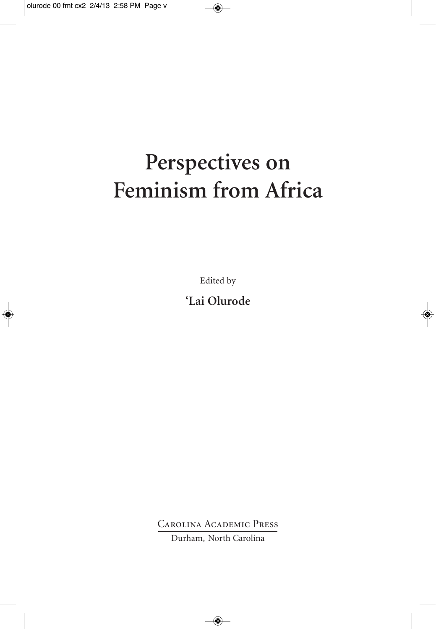# Perspectives on Feminism from Africa

Edited by

'Lai Olurode

**CAROLINA ACADEMIC PRESS** Durham, North Carolina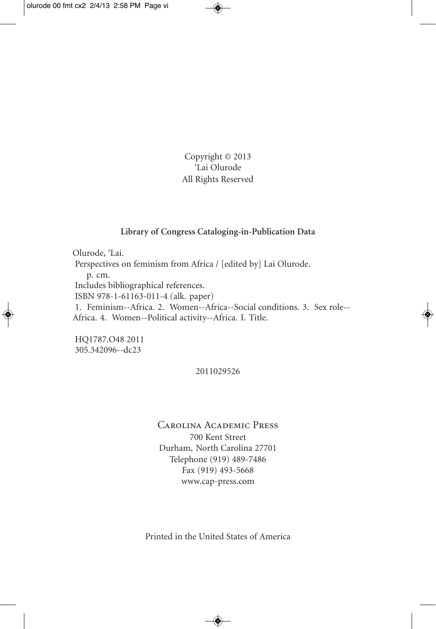Copyright © 2013 'Lai Olurode All Rights Reserved

#### **Library of Congress Cataloging-in-Publication Data**

Olurode, 'Lai. Perspectives on feminism from Africa / [edited by] Lai Olurode. p. cm. Includes bibliographical references. ISBN 978-1-61163-011-4 (alk. paper) 1. Feminism--Africa. 2. Women--Africa--Social conditions. 3. Sex role-- Africa. 4. Women--Political activity--Africa. I. Title.

HQ1787.O48 2011 305.342096--dc23

#### 2011029526

Carolina Academic Press 700 Kent Street Durham, North Carolina 27701 Telephone (919) 489-7486 Fax (919) 493-5668 www.cap-press.com

Printed in the United States of America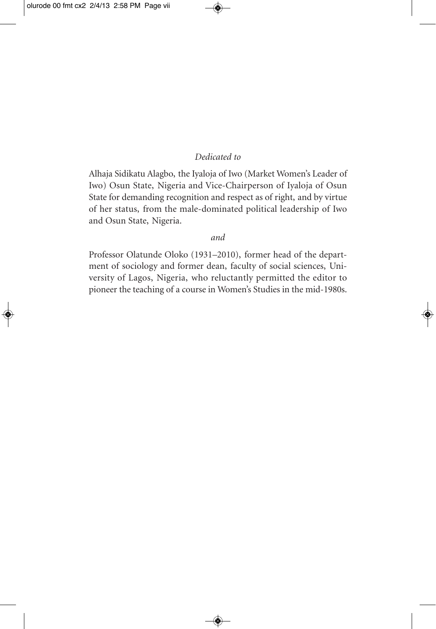#### *Dedicated to*

Alhaja Sidikatu Alagbo, the Iyaloja of Iwo (Market Women's Leader of Iwo) Osun State, Nigeria and Vice-Chairperson of Iyaloja of Osun State for demanding recognition and respect as of right, and by virtue of her status, from the male-dominated political leadership of Iwo and Osun State, Nigeria.

#### *and*

Professor Olatunde Oloko (1931–2010), former head of the department of sociology and former dean, faculty of social sciences, University of Lagos, Nigeria, who reluctantly permitted the editor to pioneer the teaching of a course in Women's Studies in the mid-1980s.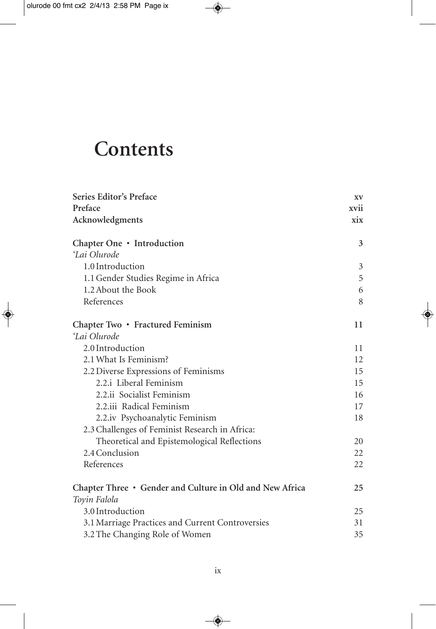# **Contents**

| Series Editor's Preface                                  | XV   |
|----------------------------------------------------------|------|
| Preface                                                  | xvii |
| Acknowledgments                                          | xix  |
| Chapter One • Introduction                               | 3    |
| 'Lai Olurode                                             |      |
| 1.0 Introduction                                         | 3    |
| 1.1 Gender Studies Regime in Africa                      | 5    |
| 1.2 About the Book                                       | 6    |
| References                                               | 8    |
| Chapter Two • Fractured Feminism                         | 11   |
| 'Lai Olurode                                             |      |
| 2.0 Introduction                                         | 11   |
| 2.1 What Is Feminism?                                    | 12   |
| 2.2 Diverse Expressions of Feminisms                     | 15   |
| 2.2.i Liberal Feminism                                   | 15   |
| 2.2.ii Socialist Feminism                                | 16   |
| 2.2.iii Radical Feminism                                 | 17   |
| 2.2.iv Psychoanalytic Feminism                           | 18   |
| 2.3 Challenges of Feminist Research in Africa:           |      |
| Theoretical and Epistemological Reflections              | 20   |
| 2.4 Conclusion                                           | 22   |
| References                                               | 22   |
| Chapter Three • Gender and Culture in Old and New Africa | 25   |
| Toyin Falola                                             |      |
| 3.0 Introduction                                         | 25   |
| 3.1 Marriage Practices and Current Controversies         | 31   |
| 3.2 The Changing Role of Women                           | 35   |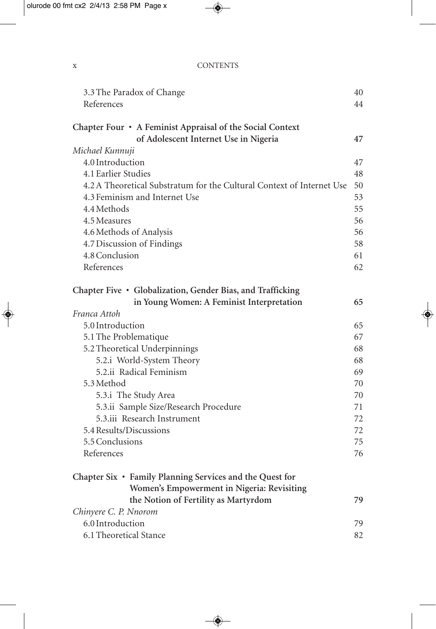| $\mathbf{v}$<br>$\mathbf{X}$ | <b>CONTENTS</b> |
|------------------------------|-----------------|
|                              |                 |

| 3.3 The Paradox of Change                                             | 40 |
|-----------------------------------------------------------------------|----|
| References                                                            | 44 |
|                                                                       |    |
| Chapter Four • A Feminist Appraisal of the Social Context             |    |
| of Adolescent Internet Use in Nigeria                                 | 47 |
| Michael Kunnuji                                                       |    |
| 4.0 Introduction                                                      | 47 |
| 4.1 Earlier Studies                                                   | 48 |
| 4.2 A Theoretical Substratum for the Cultural Context of Internet Use | 50 |
| 4.3 Feminism and Internet Use                                         | 53 |
| 4.4 Methods                                                           | 55 |
| 4.5 Measures                                                          | 56 |
| 4.6 Methods of Analysis                                               | 56 |
| 4.7 Discussion of Findings                                            | 58 |
| 4.8 Conclusion                                                        | 61 |
| References                                                            | 62 |
| Chapter Five · Globalization, Gender Bias, and Trafficking            |    |
| in Young Women: A Feminist Interpretation                             | 65 |
| Franca Attoh                                                          |    |
| 5.0 Introduction                                                      | 65 |
| 5.1 The Problematique                                                 | 67 |
| 5.2 Theoretical Underpinnings                                         | 68 |
| 5.2.i World-System Theory                                             | 68 |
| 5.2.ii Radical Feminism                                               | 69 |
| 5.3 Method                                                            | 70 |
| 5.3.i The Study Area                                                  | 70 |
| 5.3.ii Sample Size/Research Procedure                                 | 71 |
| 5.3.iii Research Instrument                                           | 72 |
| 5.4 Results/Discussions                                               | 72 |
| 5.5 Conclusions                                                       | 75 |
| References                                                            |    |
|                                                                       | 76 |
| Chapter Six • Family Planning Services and the Quest for              |    |
| Women's Empowerment in Nigeria: Revisiting                            |    |
| the Notion of Fertility as Martyrdom                                  | 79 |
| Chinyere C. P. Nnorom                                                 |    |
| 6.0 Introduction                                                      | 79 |
| 6.1 Theoretical Stance                                                | 82 |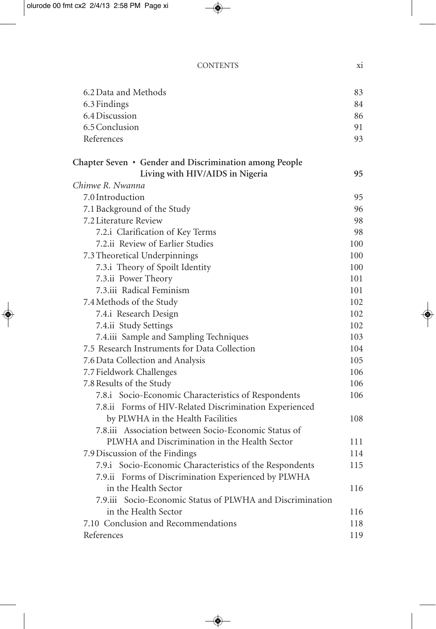| <b>CONTENTS</b> |  |
|-----------------|--|
|                 |  |

| 6.2 Data and Methods                                      | 83  |
|-----------------------------------------------------------|-----|
| 6.3 Findings                                              | 84  |
| 6.4 Discussion                                            | 86  |
| 6.5 Conclusion                                            | 91  |
| References                                                | 93  |
| Chapter Seven • Gender and Discrimination among People    |     |
| Living with HIV/AIDS in Nigeria                           | 95  |
| Chinwe R. Nwanna                                          |     |
| 7.0 Introduction                                          | 95  |
| 7.1 Background of the Study                               | 96  |
| 7.2 Literature Review                                     | 98  |
| 7.2.i Clarification of Key Terms                          | 98  |
| 7.2.ii Review of Earlier Studies                          | 100 |
| 7.3 Theoretical Underpinnings                             | 100 |
| 7.3.i Theory of Spoilt Identity                           | 100 |
| 7.3.ii Power Theory                                       | 101 |
| 7.3.iii Radical Feminism                                  | 101 |
| 7.4 Methods of the Study                                  | 102 |
| 7.4.i Research Design                                     | 102 |
| 7.4.ii Study Settings                                     | 102 |
| 7.4.iii Sample and Sampling Techniques                    | 103 |
| 7.5 Research Instruments for Data Collection              | 104 |
| 7.6 Data Collection and Analysis                          | 105 |
| 7.7 Fieldwork Challenges                                  | 106 |
| 7.8 Results of the Study                                  | 106 |
| 7.8.i Socio-Economic Characteristics of Respondents       | 106 |
| 7.8.ii Forms of HIV-Related Discrimination Experienced    |     |
| by PLWHA in the Health Facilities                         | 108 |
| 7.8.iii Association between Socio-Economic Status of      |     |
| PLWHA and Discrimination in the Health Sector             | 111 |
| 7.9 Discussion of the Findings                            | 114 |
| 7.9.i Socio-Economic Characteristics of the Respondents   | 115 |
| 7.9.ii Forms of Discrimination Experienced by PLWHA       |     |
| in the Health Sector                                      | 116 |
| 7.9.iii Socio-Economic Status of PLWHA and Discrimination |     |
| in the Health Sector                                      | 116 |
| 7.10 Conclusion and Recommendations                       | 118 |
| References                                                | 119 |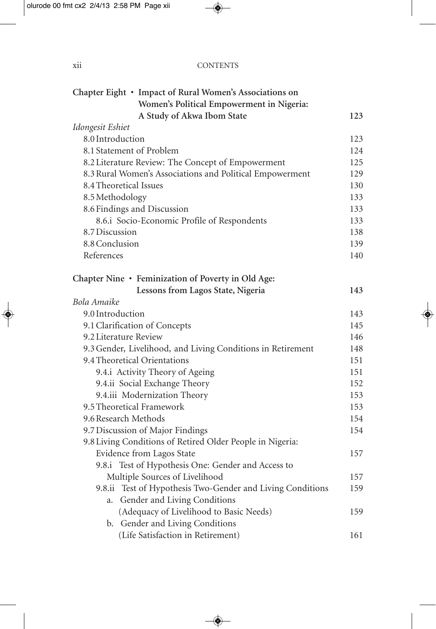| . .<br><b>CONTENTS</b><br><b>X11</b> |  |
|--------------------------------------|--|
|--------------------------------------|--|

| Chapter Eight • Impact of Rural Women's Associations on     |     |
|-------------------------------------------------------------|-----|
| Women's Political Empowerment in Nigeria:                   |     |
| A Study of Akwa Ibom State                                  | 123 |
| Idongesit Eshiet                                            |     |
| 8.0 Introduction                                            | 123 |
| 8.1 Statement of Problem                                    | 124 |
| 8.2 Literature Review: The Concept of Empowerment           | 125 |
| 8.3 Rural Women's Associations and Political Empowerment    | 129 |
| 8.4 Theoretical Issues                                      | 130 |
| 8.5 Methodology                                             | 133 |
| 8.6 Findings and Discussion                                 | 133 |
| 8.6.i Socio-Economic Profile of Respondents                 | 133 |
| 8.7 Discussion                                              | 138 |
| 8.8 Conclusion                                              | 139 |
| References                                                  | 140 |
|                                                             |     |
| Chapter Nine • Feminization of Poverty in Old Age:          |     |
| Lessons from Lagos State, Nigeria                           | 143 |
| Bola Amaike                                                 |     |
| 9.0 Introduction                                            | 143 |
| 9.1 Clarification of Concepts                               | 145 |
| 9.2 Literature Review                                       | 146 |
| 9.3 Gender, Livelihood, and Living Conditions in Retirement | 148 |
| 9.4 Theoretical Orientations                                | 151 |
| 9.4.i Activity Theory of Ageing                             | 151 |
| 9.4.ii Social Exchange Theory                               | 152 |
| 9.4.iii Modernization Theory                                | 153 |
| 9.5 Theoretical Framework                                   | 153 |
| 9.6 Research Methods                                        | 154 |
| 9.7 Discussion of Major Findings                            | 154 |
| 9.8 Living Conditions of Retired Older People in Nigeria:   |     |
| Evidence from Lagos State                                   | 157 |
| 9.8.i Test of Hypothesis One: Gender and Access to          |     |
| Multiple Sources of Livelihood                              | 157 |
| 9.8.ii Test of Hypothesis Two-Gender and Living Conditions  | 159 |
| Gender and Living Conditions<br>a.                          |     |
| (Adequacy of Livelihood to Basic Needs)                     | 159 |
| b. Gender and Living Conditions                             |     |
| (Life Satisfaction in Retirement)                           | 161 |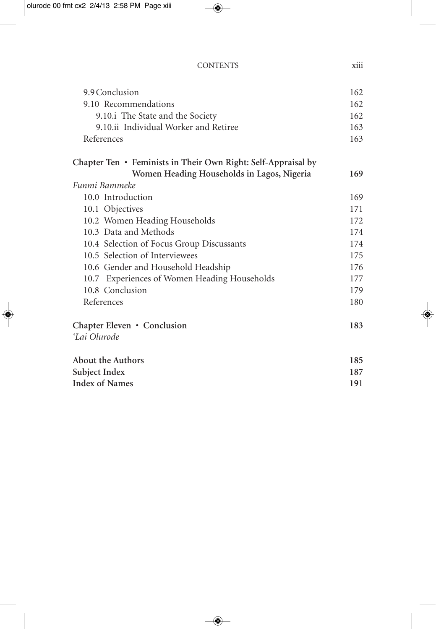| <b>CONTENTS</b> |  |
|-----------------|--|
|-----------------|--|

| 9.9 Conclusion                                                | 162 |
|---------------------------------------------------------------|-----|
| 9.10 Recommendations                                          | 162 |
| 9.10.i The State and the Society                              | 162 |
| 9.10.ii Individual Worker and Retiree                         | 163 |
| References                                                    | 163 |
| Chapter Ten • Feminists in Their Own Right: Self-Appraisal by |     |
| Women Heading Households in Lagos, Nigeria                    | 169 |
| Funmi Bammeke                                                 |     |
| 10.0 Introduction                                             | 169 |
| 10.1 Objectives                                               | 171 |
| 10.2 Women Heading Households                                 | 172 |
| 10.3 Data and Methods                                         | 174 |
| 10.4 Selection of Focus Group Discussants                     | 174 |
| 10.5 Selection of Interviewees                                | 175 |
| 10.6 Gender and Household Headship                            | 176 |
| 10.7 Experiences of Women Heading Households                  | 177 |
| 10.8 Conclusion                                               | 179 |
| References                                                    | 180 |
| Chapter Eleven • Conclusion                                   | 183 |
| 'Lai Olurode                                                  |     |
| <b>About the Authors</b>                                      | 185 |
| Subject Index                                                 | 187 |
| <b>Index of Names</b>                                         | 191 |

xiii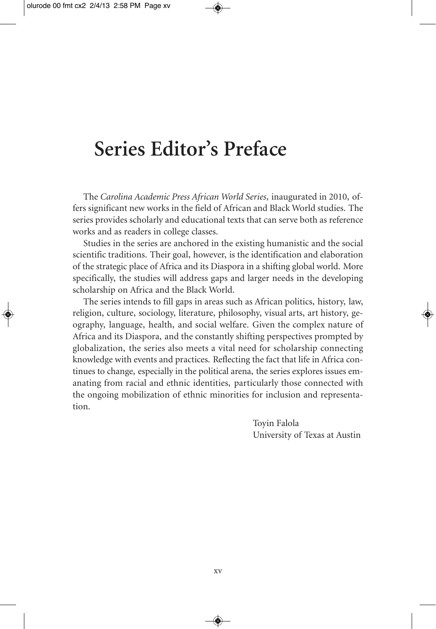### **Series Editor's Preface**

The *Carolina Academic Press African World Series*, inaugurated in 2010, offers significant new works in the field of African and Black World studies. The series provides scholarly and educational texts that can serve both as reference works and as readers in college classes.

Studies in the series are anchored in the existing humanistic and the social scientific traditions. Their goal, however, is the identification and elaboration of the strategic place of Africa and its Diaspora in a shifting global world. More specifically, the studies will address gaps and larger needs in the developing scholarship on Africa and the Black World.

The series intends to fill gaps in areas such as African politics, history, law, religion, culture, sociology, literature, philosophy, visual arts, art history, geography, language, health, and social welfare. Given the complex nature of Africa and its Diaspora, and the constantly shifting perspectives prompted by globalization, the series also meets a vital need for scholarship connecting knowledge with events and practices. Reflecting the fact that life in Africa continues to change, especially in the political arena, the series explores issues emanating from racial and ethnic identities, particularly those connected with the ongoing mobilization of ethnic minorities for inclusion and representation.

> Toyin Falola University of Texas at Austin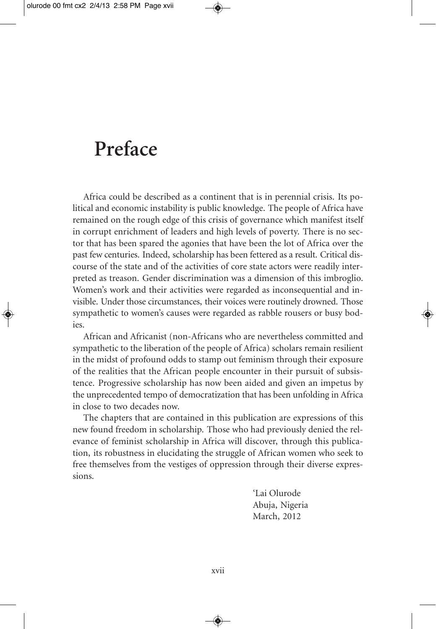### **Preface**

Africa could be described as a continent that is in perennial crisis. Its political and economic instability is public knowledge. The people of Africa have remained on the rough edge of this crisis of governance which manifest itself in corrupt enrichment of leaders and high levels of poverty. There is no sector that has been spared the agonies that have been the lot of Africa over the past few centuries. Indeed, scholarship has been fettered as a result. Critical discourse of the state and of the activities of core state actors were readily interpreted as treason. Gender discrimination was a dimension of this imbroglio. Women's work and their activities were regarded as inconsequential and invisible. Under those circumstances, their voices were routinely drowned. Those sympathetic to women's causes were regarded as rabble rousers or busy bodies.

African and Africanist (non-Africans who are nevertheless committed and sympathetic to the liberation of the people of Africa) scholars remain resilient in the midst of profound odds to stamp out feminism through their exposure of the realities that the African people encounter in their pursuit of subsistence. Progressive scholarship has now been aided and given an impetus by the unprecedented tempo of democratization that has been unfolding in Africa in close to two decades now.

The chapters that are contained in this publication are expressions of this new found freedom in scholarship. Those who had previously denied the relevance of feminist scholarship in Africa will discover, through this publication, its robustness in elucidating the struggle of African women who seek to free themselves from the vestiges of oppression through their diverse expressions.

> 'Lai Olurode Abuja, Nigeria March, 2012